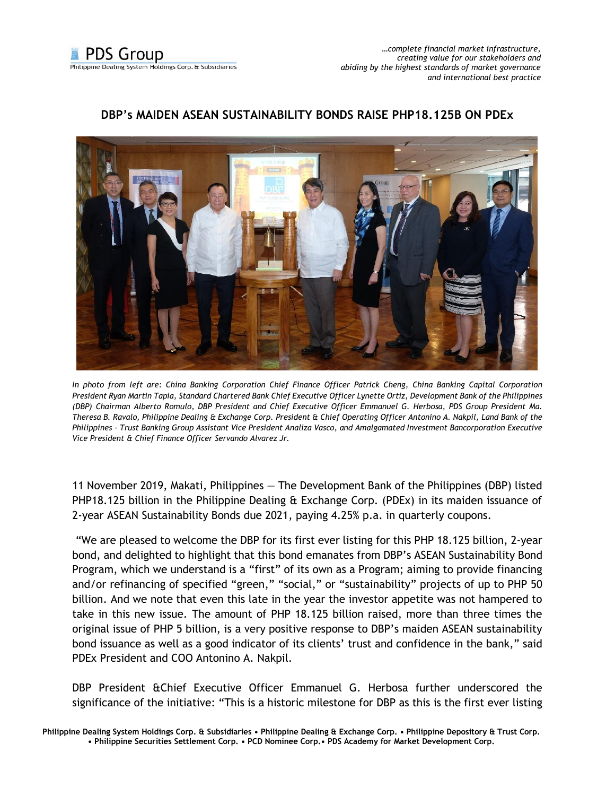## **DBP's MAIDEN ASEAN SUSTAINABILITY BONDS RAISE PHP18.125B ON PDEx**



*In photo from left are: China Banking Corporation Chief Finance Officer Patrick Cheng, China Banking Capital Corporation President Ryan Martin Tapia, Standard Chartered Bank Chief Executive Officer Lynette Ortiz, Development Bank of the Philippines (DBP) Chairman Alberto Romulo, DBP President and Chief Executive Officer Emmanuel G. Herbosa, PDS Group President Ma. Theresa B. Ravalo, Philippine Dealing & Exchange Corp. President & Chief Operating Officer Antonino A. Nakpil, Land Bank of the Philippines - Trust Banking Group Assistant Vice President Analiza Vasco, and Amalgamated Investment Bancorporation Executive Vice President & Chief Finance Officer Servando Alvarez Jr.*

11 November 2019, Makati, Philippines — The Development Bank of the Philippines (DBP) listed PHP18.125 billion in the Philippine Dealing & Exchange Corp. (PDEx) in its maiden issuance of 2-year ASEAN Sustainability Bonds due 2021, paying 4.25% p.a. in quarterly coupons.

"We are pleased to welcome the DBP for its first ever listing for this PHP 18.125 billion, 2-year bond, and delighted to highlight that this bond emanates from DBP's ASEAN Sustainability Bond Program, which we understand is a "first" of its own as a Program; aiming to provide financing and/or refinancing of specified "green," "social," or "sustainability" projects of up to PHP 50 billion. And we note that even this late in the year the investor appetite was not hampered to take in this new issue. The amount of PHP 18.125 billion raised, more than three times the original issue of PHP 5 billion, is a very positive response to DBP's maiden ASEAN sustainability bond issuance as well as a good indicator of its clients' trust and confidence in the bank," said PDEx President and COO Antonino A. Nakpil.

DBP President &Chief Executive Officer Emmanuel G. Herbosa further underscored the significance of the initiative: "This is a historic milestone for DBP as this is the first ever listing